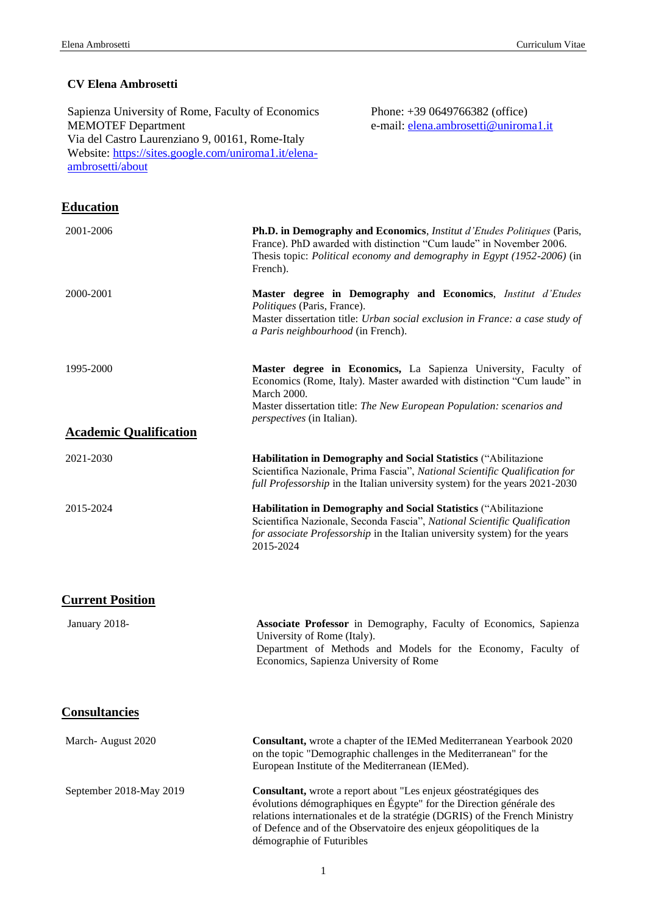# **CV Elena Ambrosetti**

| Sapienza University of Rome, Faculty of Economics<br><b>MEMOTEF Department</b><br>Via del Castro Laurenziano 9, 00161, Rome-Italy<br>Website: https://sites.google.com/uniroma1.it/elena-<br>ambrosetti/about |                                                                   | Phone: $+390649766382$ (office)<br>e-mail: elena.ambrosetti@uniroma1.it                                                                                                                                                          |
|---------------------------------------------------------------------------------------------------------------------------------------------------------------------------------------------------------------|-------------------------------------------------------------------|----------------------------------------------------------------------------------------------------------------------------------------------------------------------------------------------------------------------------------|
| <b>Education</b>                                                                                                                                                                                              |                                                                   |                                                                                                                                                                                                                                  |
| 2001-2006                                                                                                                                                                                                     | French).                                                          | Ph.D. in Demography and Economics, <i>Institut d'Etudes Politiques</i> (Paris,<br>France). PhD awarded with distinction "Cum laude" in November 2006.<br>Thesis topic: Political economy and demography in Egypt (1952-2006) (in |
| 2000-2001                                                                                                                                                                                                     | Politiques (Paris, France).<br>a Paris neighbourhood (in French). | Master degree in Demography and Economics, Institut d'Etudes<br>Master dissertation title: Urban social exclusion in France: a case study of                                                                                     |
| 1995-2000                                                                                                                                                                                                     | <b>March 2000.</b><br><i>perspectives</i> (in Italian).           | Master degree in Economics, La Sapienza University, Faculty of<br>Economics (Rome, Italy). Master awarded with distinction "Cum laude" in<br>Master dissertation title: The New European Population: scenarios and               |
| <b>Academic Qualification</b>                                                                                                                                                                                 |                                                                   |                                                                                                                                                                                                                                  |
| 2021-2030                                                                                                                                                                                                     |                                                                   | Habilitation in Demography and Social Statistics ("Abilitazione<br>Scientifica Nazionale, Prima Fascia", National Scientific Qualification for<br>full Professorship in the Italian university system) for the years 2021-2030   |
| 2015-2024                                                                                                                                                                                                     | 2015-2024                                                         | Habilitation in Demography and Social Statistics ("Abilitazione<br>Scientifica Nazionale, Seconda Fascia", National Scientific Qualification<br>for associate Professorship in the Italian university system) for the years      |
| <b>Current Position</b>                                                                                                                                                                                       |                                                                   |                                                                                                                                                                                                                                  |
| January 2018-                                                                                                                                                                                                 | University of Rome (Italy).                                       | Associate Professor in Demography, Faculty of Economics, Sapienza<br>Department of Methods and Models for the Economy, Faculty of<br>Economics, Sapienza University of Rome                                                      |
| <b>Consultancies</b>                                                                                                                                                                                          |                                                                   |                                                                                                                                                                                                                                  |
| March-August 2020                                                                                                                                                                                             |                                                                   | Consultant, wrote a chapter of the IEMed Mediterranean Yearbook 2020<br>on the topic "Demographic challenges in the Mediterranean" for the<br>European Institute of the Mediterranean (IEMed).                                   |
| September 2018-May 2019                                                                                                                                                                                       |                                                                   | Consultant, wrote a report about "Les enjeux géostratégiques des                                                                                                                                                                 |

évolutions démographiques en Égypte" for the Direction générale des relations internationales et de la stratégie (DGRIS) of the French Ministry of Defence and of the Observatoire des enjeux géopolitiques de la démographie of Futuribles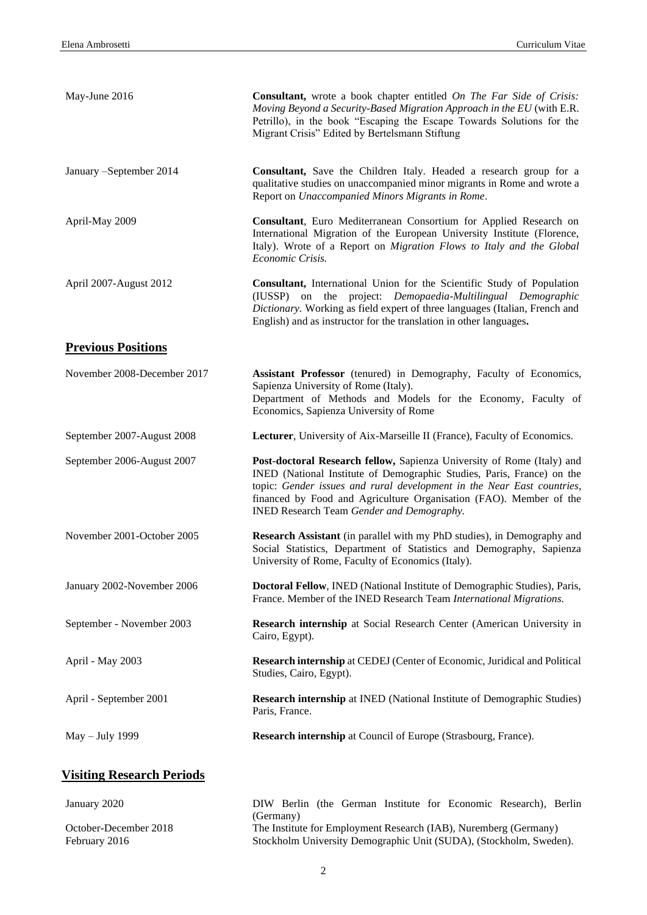| May-June 2016                    | <b>Consultant,</b> wrote a book chapter entitled On The Far Side of Crisis:<br>Moving Beyond a Security-Based Migration Approach in the EU (with E.R.<br>Petrillo), in the book "Escaping the Escape Towards Solutions for the<br>Migrant Crisis" Edited by Bertelsmann Stiftung                                                              |
|----------------------------------|-----------------------------------------------------------------------------------------------------------------------------------------------------------------------------------------------------------------------------------------------------------------------------------------------------------------------------------------------|
| January -September 2014          | Consultant, Save the Children Italy. Headed a research group for a<br>qualitative studies on unaccompanied minor migrants in Rome and wrote a<br>Report on Unaccompanied Minors Migrants in Rome.                                                                                                                                             |
| April-May 2009                   | Consultant, Euro Mediterranean Consortium for Applied Research on<br>International Migration of the European University Institute (Florence,<br>Italy). Wrote of a Report on Migration Flows to Italy and the Global<br>Economic Crisis.                                                                                                      |
| April 2007-August 2012           | Consultant, International Union for the Scientific Study of Population<br>project: Demopaedia-Multilingual Demographic<br>on the<br>(IUSSP)<br>Dictionary. Working as field expert of three languages (Italian, French and<br>English) and as instructor for the translation in other languages.                                              |
| <b>Previous Positions</b>        |                                                                                                                                                                                                                                                                                                                                               |
| November 2008-December 2017      | Assistant Professor (tenured) in Demography, Faculty of Economics,<br>Sapienza University of Rome (Italy).<br>Department of Methods and Models for the Economy, Faculty of<br>Economics, Sapienza University of Rome                                                                                                                          |
| September 2007-August 2008       | Lecturer, University of Aix-Marseille II (France), Faculty of Economics.                                                                                                                                                                                                                                                                      |
| September 2006-August 2007       | Post-doctoral Research fellow, Sapienza University of Rome (Italy) and<br>INED (National Institute of Demographic Studies, Paris, France) on the<br>topic: Gender issues and rural development in the Near East countries,<br>financed by Food and Agriculture Organisation (FAO). Member of the<br>INED Research Team Gender and Demography. |
| November 2001-October 2005       | Research Assistant (in parallel with my PhD studies), in Demography and<br>Social Statistics, Department of Statistics and Demography, Sapienza<br>University of Rome, Faculty of Economics (Italy).                                                                                                                                          |
| January 2002-November 2006       | Doctoral Fellow, INED (National Institute of Demographic Studies), Paris,<br>France. Member of the INED Research Team International Migrations.                                                                                                                                                                                               |
| September - November 2003        | Research internship at Social Research Center (American University in<br>Cairo, Egypt).                                                                                                                                                                                                                                                       |
| April - May 2003                 | Research internship at CEDEJ (Center of Economic, Juridical and Political<br>Studies, Cairo, Egypt).                                                                                                                                                                                                                                          |
| April - September 2001           | <b>Research internship</b> at INED (National Institute of Demographic Studies)<br>Paris, France.                                                                                                                                                                                                                                              |
| May - July 1999                  | Research internship at Council of Europe (Strasbourg, France).                                                                                                                                                                                                                                                                                |
| <b>Visiting Research Periods</b> |                                                                                                                                                                                                                                                                                                                                               |

January 2020 DIW Berlin (the German Institute for Economic Research), Berlin (Germany) October-December 2018 February 2016 The Institute for Employment Research (IAB), Nuremberg (Germany) Stockholm University Demographic Unit (SUDA), (Stockholm, Sweden).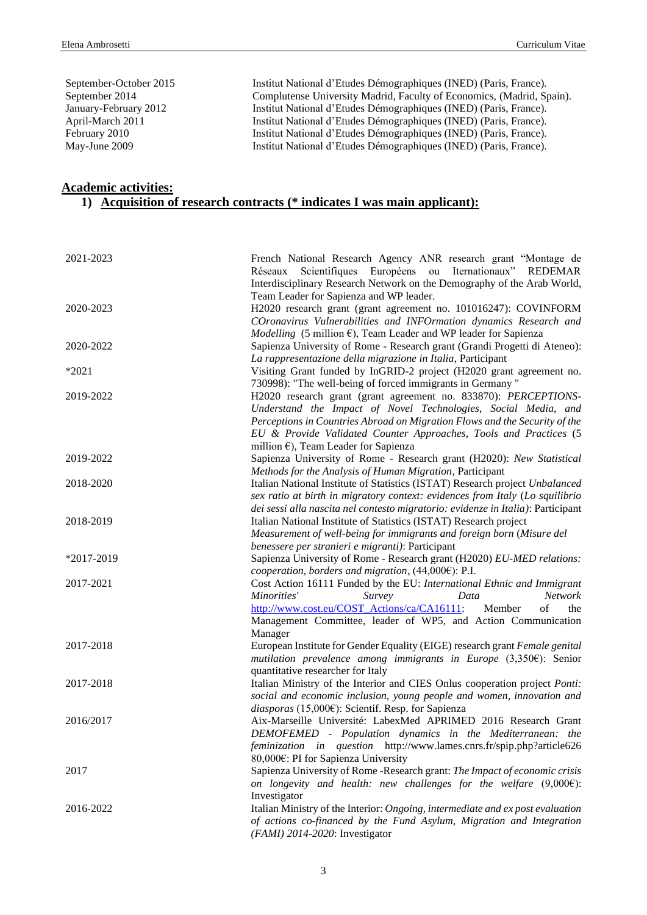September-October 2015 Institut National d'Etudes Démographiques (INED) (Paris, France). September 2014 Complutense University Madrid, Faculty of Economics, (Madrid, Spain). January-February 2012 Institut National d'Etudes Démographiques (INED) (Paris, France). April-March 2011 Institut National d'Etudes Démographiques (INED) (Paris, France). February 2010 Institut National d'Etudes Démographiques (INED) (Paris, France). May-June 2009 Institut National d'Etudes Démographiques (INED) (Paris, France).

### **Academic activities:**

# **1) Acquisition of research contracts (\* indicates I was main applicant):**

| 2021-2023  | French National Research Agency ANR research grant "Montage de<br>Scientifiques Européens ou Iternationaux" REDEMAR<br>Réseaux           |
|------------|------------------------------------------------------------------------------------------------------------------------------------------|
|            | Interdisciplinary Research Network on the Demography of the Arab World,<br>Team Leader for Sapienza and WP leader.                       |
| 2020-2023  | H2020 research grant (grant agreement no. 101016247): COVINFORM                                                                          |
|            | COronavirus Vulnerabilities and INFOrmation dynamics Research and                                                                        |
|            | $Modelling$ (5 million $\epsilon$ ), Team Leader and WP leader for Sapienza                                                              |
| 2020-2022  | Sapienza University of Rome - Research grant (Grandi Progetti di Ateneo):<br>La rappresentazione della migrazione in Italia, Participant |
| *2021      | Visiting Grant funded by InGRID-2 project (H2020 grant agreement no.                                                                     |
|            | 730998): "The well-being of forced immigrants in Germany "                                                                               |
| 2019-2022  | H2020 research grant (grant agreement no. 833870): PERCEPTIONS-                                                                          |
|            | Understand the Impact of Novel Technologies, Social Media, and                                                                           |
|            | Perceptions in Countries Abroad on Migration Flows and the Security of the                                                               |
|            | EU & Provide Validated Counter Approaches, Tools and Practices (5                                                                        |
| 2019-2022  | million $\epsilon$ ), Team Leader for Sapienza                                                                                           |
|            | Sapienza University of Rome - Research grant (H2020): New Statistical<br>Methods for the Analysis of Human Migration, Participant        |
| 2018-2020  | Italian National Institute of Statistics (ISTAT) Research project Unbalanced                                                             |
|            | sex ratio at birth in migratory context: evidences from Italy (Lo squilibrio                                                             |
|            | dei sessi alla nascita nel contesto migratorio: evidenze in Italia): Participant                                                         |
| 2018-2019  | Italian National Institute of Statistics (ISTAT) Research project                                                                        |
|            | Measurement of well-being for immigrants and foreign born (Misure del                                                                    |
|            | benessere per stranieri e migranti): Participant                                                                                         |
| *2017-2019 | Sapienza University of Rome - Research grant (H2020) EU-MED relations:<br>cooperation, borders and migration, (44,000€): P.I.            |
| 2017-2021  | Cost Action 16111 Funded by the EU: International Ethnic and Immigrant                                                                   |
|            | Network<br>Minorities'<br>Survey<br>Data                                                                                                 |
|            | http://www.cost.eu/COST Actions/ca/CA16111:<br>Member<br>of<br>the                                                                       |
|            | Management Committee, leader of WP5, and Action Communication                                                                            |
|            | Manager                                                                                                                                  |
| 2017-2018  | European Institute for Gender Equality (EIGE) research grant Female genital                                                              |
|            | mutilation prevalence among immigrants in Europe $(3,350)$ : Senior<br>quantitative researcher for Italy                                 |
| 2017-2018  | Italian Ministry of the Interior and CIES Onlus cooperation project Ponti:                                                               |
|            | social and economic inclusion, young people and women, innovation and                                                                    |
|            | diasporas (15,000 $\varepsilon$ ): Scientif. Resp. for Sapienza                                                                          |
| 2016/2017  | Aix-Marseille Université: LabexMed APRIMED 2016 Research Grant                                                                           |
|            | DEMOFEMED - Population dynamics in the Mediterranean: the                                                                                |
|            | feminization in question http://www.lames.cnrs.fr/spip.php?article626                                                                    |
| 2017       | 80,000€: PI for Sapienza University<br>Sapienza University of Rome -Research grant: The Impact of economic crisis                        |
|            | on longevity and health: new challenges for the welfare $(9,000)$ :                                                                      |
|            | Investigator                                                                                                                             |
| 2016-2022  | Italian Ministry of the Interior: Ongoing, intermediate and ex post evaluation                                                           |
|            | of actions co-financed by the Fund Asylum, Migration and Integration                                                                     |
|            | (FAMI) 2014-2020: Investigator                                                                                                           |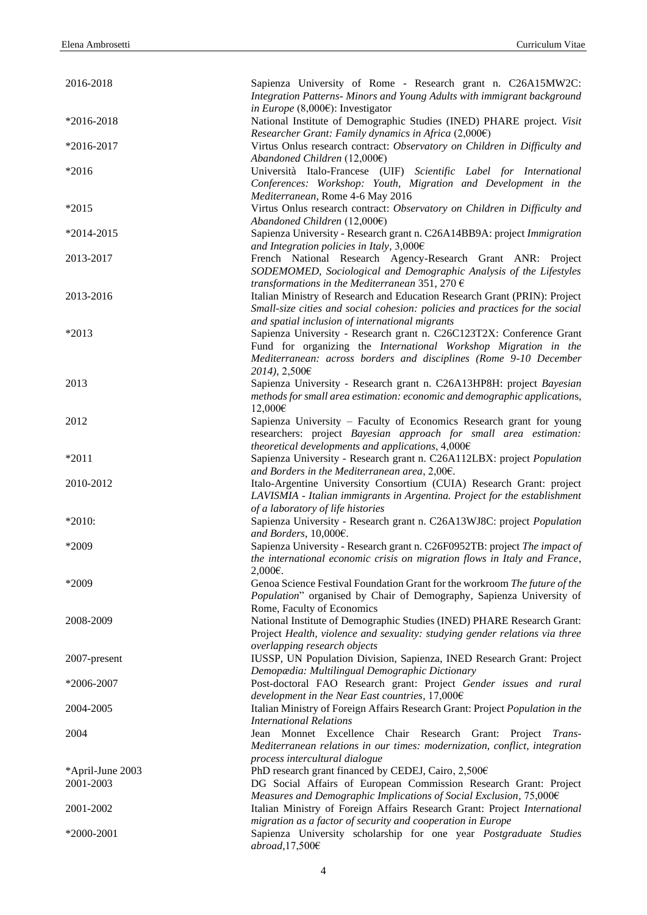| 2016-2018                     | Sapienza University of Rome - Research grant n. C26A15MW2C:<br>Integration Patterns- Minors and Young Adults with immigrant background             |
|-------------------------------|----------------------------------------------------------------------------------------------------------------------------------------------------|
|                               | in Europe (8,000 $\varepsilon$ ): Investigator                                                                                                     |
| $*2016 - 2018$                | National Institute of Demographic Studies (INED) PHARE project. Visit                                                                              |
| *2016-2017                    | Researcher Grant: Family dynamics in Africa $(2,000)$<br>Virtus Onlus research contract: Observatory on Children in Difficulty and                 |
|                               | Abandoned Children $(12,000)$                                                                                                                      |
| $*2016$                       | Università Italo-Francese (UIF) Scientific Label for International                                                                                 |
|                               | Conferences: Workshop: Youth, Migration and Development in the                                                                                     |
|                               | Mediterranean, Rome 4-6 May 2016                                                                                                                   |
| $*2015$                       | Virtus Onlus research contract: Observatory on Children in Difficulty and                                                                          |
|                               | Abandoned Children $(12,000)$                                                                                                                      |
| $*2014-2015$                  | Sapienza University - Research grant n. C26A14BB9A: project Immigration                                                                            |
|                               | and Integration policies in Italy, $3,000 \in$                                                                                                     |
| 2013-2017                     | French National Research Agency-Research Grant ANR: Project                                                                                        |
|                               | SODEMOMED, Sociological and Demographic Analysis of the Lifestyles                                                                                 |
|                               | transformations in the Mediterranean 351, 270 $\epsilon$                                                                                           |
| 2013-2016                     | Italian Ministry of Research and Education Research Grant (PRIN): Project                                                                          |
|                               | Small-size cities and social cohesion: policies and practices for the social                                                                       |
|                               | and spatial inclusion of international migrants                                                                                                    |
| *2013                         | Sapienza University - Research grant n. C26C123T2X: Conference Grant<br>Fund for organizing the International Workshop Migration in the            |
|                               | Mediterranean: across borders and disciplines (Rome 9-10 December                                                                                  |
|                               | 2014), 2,500€                                                                                                                                      |
| 2013                          | Sapienza University - Research grant n. C26A13HP8H: project Bayesian                                                                               |
|                               | methods for small area estimation: economic and demographic applications,                                                                          |
|                               | 12,000€                                                                                                                                            |
| 2012                          | Sapienza University – Faculty of Economics Research grant for young                                                                                |
|                               | researchers: project Bayesian approach for small area estimation:                                                                                  |
|                               | theoretical developments and applications, $4,000 \in$                                                                                             |
| $*2011$                       | Sapienza University - Research grant n. C26A112LBX: project Population                                                                             |
|                               | and Borders in the Mediterranean area, $2,006$ .                                                                                                   |
| 2010-2012                     | Italo-Argentine University Consortium (CUIA) Research Grant: project                                                                               |
|                               | LAVISMIA - Italian immigrants in Argentina. Project for the establishment                                                                          |
|                               | of a laboratory of life histories                                                                                                                  |
| $*2010:$                      | Sapienza University - Research grant n. C26A13WJ8C: project Population                                                                             |
|                               | and Borders, 10,000€.                                                                                                                              |
| *2009                         | Sapienza University - Research grant n. C26F0952TB: project The impact of                                                                          |
|                               | the international economic crisis on migration flows in Italy and France,                                                                          |
| *2009                         | 2,000€.                                                                                                                                            |
|                               | Genoa Science Festival Foundation Grant for the workroom The future of the<br>Population" organised by Chair of Demography, Sapienza University of |
|                               | Rome, Faculty of Economics                                                                                                                         |
| 2008-2009                     | National Institute of Demographic Studies (INED) PHARE Research Grant:                                                                             |
|                               | Project Health, violence and sexuality: studying gender relations via three                                                                        |
|                               | overlapping research objects                                                                                                                       |
| 2007-present                  | IUSSP, UN Population Division, Sapienza, INED Research Grant: Project                                                                              |
|                               | Demopædia: Multilingual Demographic Dictionary                                                                                                     |
| *2006-2007                    | Post-doctoral FAO Research grant: Project Gender issues and rural                                                                                  |
|                               | development in the Near East countries, $17,000 \in$                                                                                               |
| 2004-2005                     | Italian Ministry of Foreign Affairs Research Grant: Project Population in the                                                                      |
|                               | <b>International Relations</b>                                                                                                                     |
| 2004                          | Jean Monnet Excellence Chair Research Grant: Project Trans-                                                                                        |
|                               | Mediterranean relations in our times: modernization, conflict, integration                                                                         |
|                               | process intercultural dialogue                                                                                                                     |
| *April-June 2003<br>2001-2003 | PhD research grant financed by CEDEJ, Cairo, 2,500€<br>DG Social Affairs of European Commission Research Grant: Project                            |
|                               | Measures and Demographic Implications of Social Exclusion, 75,000€                                                                                 |
| 2001-2002                     | Italian Ministry of Foreign Affairs Research Grant: Project International                                                                          |
|                               | migration as a factor of security and cooperation in Europe                                                                                        |
| $*2000-2001$                  | Sapienza University scholarship for one year Postgraduate Studies                                                                                  |
|                               | $abroad, 17, 500 \text{€}$                                                                                                                         |
|                               |                                                                                                                                                    |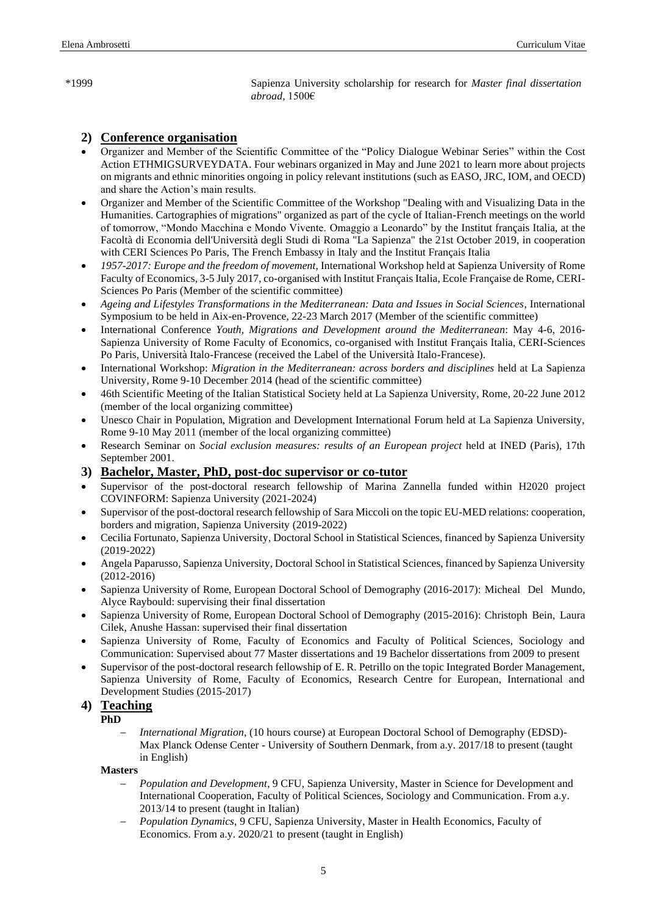\*1999 Sapienza University scholarship for research for *Master final dissertation abroad,* 1500€

### **2) Conference organisation**

- Organizer and Member of the Scientific Committee of the "Policy Dialogue Webinar Series" within the Cost Action ETHMIGSURVEYDATA. Four webinars organized in May and June 2021 to learn more about projects on migrants and ethnic minorities ongoing in policy relevant institutions (such as EASO, JRC, IOM, and OECD) and share the Action's main results.
- Organizer and Member of the Scientific Committee of the Workshop "Dealing with and Visualizing Data in the Humanities. Cartographies of migrations" organized as part of the cycle of Italian-French meetings on the world of tomorrow, "Mondo Macchina e Mondo Vivente. Omaggio a Leonardo" by the Institut français Italia, at the Facoltà di Economia dell'Università degli Studi di Roma "La Sapienza" the 21st October 2019, in cooperation with CERI Sciences Po Paris, The French Embassy in Italy and the Institut Français Italia
- *1957-2017: Europe and the freedom of movement*, International Workshop held at Sapienza University of Rome Faculty of Economics, 3-5 July 2017, co-organised with Institut Français Italia, Ecole Française de Rome, CERI-Sciences Po Paris (Member of the scientific committee)
- *Ageing and Lifestyles Transformations in the Mediterranean: Data and Issues in Social Sciences*, International Symposium to be held in Aix-en-Provence, 22-23 March 2017 (Member of the scientific committee)
- International Conference *Youth, Migrations and Development around the Mediterranean*: May 4-6, 2016- Sapienza University of Rome Faculty of Economics, co-organised with Institut Français Italia, CERI-Sciences Po Paris, Università Italo-Francese (received the Label of the Università Italo-Francese).
- International Workshop: *Migration in the Mediterranean: across borders and disciplines* held at La Sapienza University, Rome 9-10 December 2014 (head of the scientific committee)
- 46th Scientific Meeting of the Italian Statistical Society held at La Sapienza University, Rome, 20-22 June 2012 (member of the local organizing committee)
- Unesco Chair in Population, Migration and Development International Forum held at La Sapienza University, Rome 9-10 May 2011 (member of the local organizing committee)
- Research Seminar on *Social exclusion measures: results of an European project* held at INED (Paris), 17th September 2001.

#### **3) Bachelor, Master, PhD, post-doc supervisor or co-tutor**

- Supervisor of the post-doctoral research fellowship of Marina Zannella funded within H2020 project COVINFORM: Sapienza University (2021-2024)
- Supervisor of the post-doctoral research fellowship of Sara Miccoli on the topic EU-MED relations: cooperation, borders and migration, Sapienza University (2019-2022)
- Cecilia Fortunato, Sapienza University, Doctoral School in Statistical Sciences, financed by Sapienza University (2019-2022)
- Angela Paparusso, Sapienza University, Doctoral School in Statistical Sciences, financed by Sapienza University (2012-2016)
- Sapienza University of Rome, European Doctoral School of Demography (2016-2017): Micheal Del Mundo, Alyce Raybould: supervising their final dissertation
- Sapienza University of Rome, European Doctoral School of Demography (2015-2016): Christoph Bein, Laura Cilek, Anushe Hassan: supervised their final dissertation
- Sapienza University of Rome, Faculty of Economics and Faculty of Political Sciences, Sociology and Communication: Supervised about 77 Master dissertations and 19 Bachelor dissertations from 2009 to present
- Supervisor of the post-doctoral research fellowship of E. R. Petrillo on the topic Integrated Border Management, Sapienza University of Rome, Faculty of Economics, Research Centre for European, International and Development Studies (2015-2017)

# **4) Teaching**

- **PhD**
	- − *International Migration*, (10 hours course) at European Doctoral School of Demography (EDSD)- Max Planck Odense Center - University of Southern Denmark, from a.y. 2017/18 to present (taught in English)

### **Masters**

- − *Population and Development*, 9 CFU, Sapienza University, Master in Science for Development and International Cooperation, Faculty of Political Sciences, Sociology and Communication. From a.y. 2013/14 to present (taught in Italian)
- − *Population Dynamics,* 9 CFU, Sapienza University, Master in Health Economics, Faculty of Economics. From a.y. 2020/21 to present (taught in English)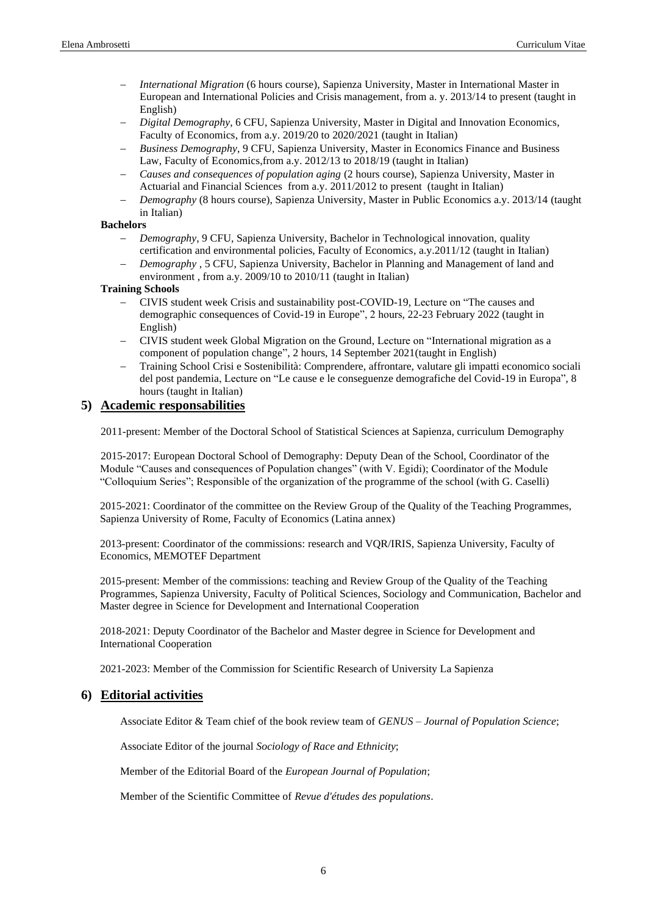- − *International Migration* (6 hours course), Sapienza University, Master in International Master in European and International Policies and Crisis management, from a. y. 2013/14 to present (taught in English)
- − *Digital Demography*, 6 CFU, Sapienza University, Master in Digital and Innovation Economics, Faculty of Economics, from a.y. 2019/20 to 2020/2021 (taught in Italian)
- − *Business Demography*, 9 CFU, Sapienza University, Master in Economics Finance and Business Law, Faculty of Economics,from a.y. 2012/13 to 2018/19 (taught in Italian)
- − *Causes and consequences of population aging* (2 hours course), Sapienza University, Master in Actuarial and Financial Sciences from a.y. 2011/2012 to present (taught in Italian)
- *Demography* (8 hours course), Sapienza University, Master in Public Economics a.y. 2013/14 (taught in Italian)

#### **Bachelors**

- − *Demography*, 9 CFU, Sapienza University, Bachelor in Technological innovation, quality certification and environmental policies, Faculty of Economics, a.y.2011/12 (taught in Italian)
- *Demography*, 5 CFU, Sapienza University, Bachelor in Planning and Management of land and environment , from a.y. 2009/10 to 2010/11 (taught in Italian)

#### **Training Schools**

- − CIVIS student week Crisis and sustainability post-COVID-19, Lecture on "The causes and demographic consequences of Covid-19 in Europe", 2 hours, 22-23 February 2022 (taught in English)
- − CIVIS student week Global Migration on the Ground, Lecture on "International migration as a component of population change", 2 hours, 14 September 2021(taught in English)
- − Training School Crisi e Sostenibilità: Comprendere, affrontare, valutare gli impatti economico sociali del post pandemia, Lecture on "Le cause e le conseguenze demografiche del Covid-19 in Europa", 8 hours (taught in Italian)

### **5) Academic responsabilities**

2011-present: Member of the Doctoral School of Statistical Sciences at Sapienza, curriculum Demography

2015-2017: European Doctoral School of Demography: Deputy Dean of the School, Coordinator of the Module "Causes and consequences of Population changes" (with V. Egidi); Coordinator of the Module "Colloquium Series"; Responsible of the organization of the programme of the school (with G. Caselli)

2015-2021: Coordinator of the committee on the Review Group of the Quality of the Teaching Programmes, Sapienza University of Rome, Faculty of Economics (Latina annex)

2013-present: Coordinator of the commissions: research and VQR/IRIS, Sapienza University, Faculty of Economics, MEMOTEF Department

2015-present: Member of the commissions: teaching and Review Group of the Quality of the Teaching Programmes, Sapienza University, Faculty of Political Sciences, Sociology and Communication, Bachelor and Master degree in Science for Development and International Cooperation

2018-2021: Deputy Coordinator of the Bachelor and Master degree in Science for Development and International Cooperation

2021-2023: Member of the Commission for Scientific Research of University La Sapienza

#### **6) Editorial activities**

Associate Editor & Team chief of the book review team of *GENUS – Journal of Population Science*;

Associate Editor of the journal *Sociology of Race and Ethnicity*;

Member of the Editorial Board of the *European Journal of Population*;

Member of the Scientific Committee of *Revue d'études des populations*.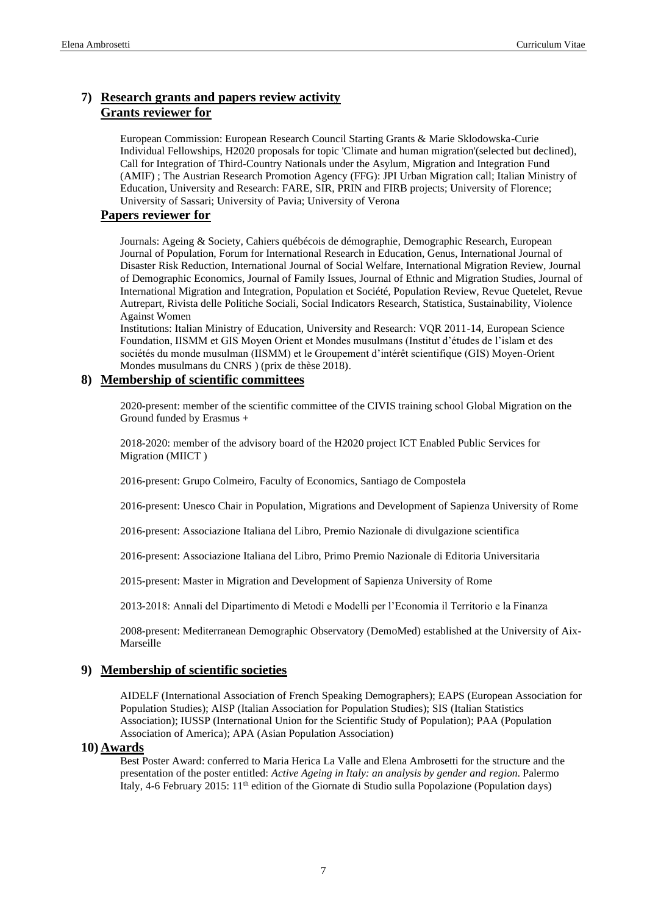# **7) Research grants and papers review activity Grants reviewer for**

European Commission: European Research Council Starting Grants & Marie Sklodowska-Curie Individual Fellowships, H2020 proposals for topic 'Climate and human migration'(selected but declined), Call for Integration of Third-Country Nationals under the Asylum, Migration and Integration Fund (AMIF) ; The Austrian Research Promotion Agency (FFG): JPI Urban Migration call; Italian Ministry of Education, University and Research: FARE, SIR, PRIN and FIRB projects; University of Florence; University of Sassari; University of Pavia; University of Verona

#### **Papers reviewer for**

Journals: Ageing & Society, Cahiers québécois de démographie, Demographic Research, European Journal of Population, Forum for International Research in Education, Genus, International Journal of Disaster Risk Reduction, International Journal of Social Welfare, International Migration Review, Journal of Demographic Economics, Journal of Family Issues, Journal of Ethnic and Migration Studies, Journal of International Migration and Integration, Population et Société, Population Review, Revue Quetelet, Revue Autrepart, Rivista delle Politiche Sociali, Social Indicators Research, Statistica, Sustainability, Violence Against Women

Institutions: Italian Ministry of Education, University and Research: VQR 2011-14, European Science Foundation, IISMM et GIS Moyen Orient et Mondes musulmans (Institut d'études de l'islam et des sociétés du monde musulman (IISMM) et le Groupement d'intérêt scientifique (GIS) Moyen-Orient Mondes musulmans du CNRS ) (prix de thèse 2018).

### **8) Membership of scientific committees**

2020-present: member of the scientific committee of the CIVIS training school Global Migration on the Ground funded by Erasmus +

2018-2020: member of the advisory board of the H2020 project ICT Enabled Public Services for Migration (MIICT )

2016-present: Grupo Colmeiro, Faculty of Economics, Santiago de Compostela

2016-present: Unesco Chair in Population, Migrations and Development of Sapienza University of Rome

2016-present: Associazione Italiana del Libro, Premio Nazionale di divulgazione scientifica

2016-present: Associazione Italiana del Libro, Primo Premio Nazionale di Editoria Universitaria

2015-present: Master in Migration and Development of Sapienza University of Rome

2013-2018: Annali del Dipartimento di Metodi e Modelli per l'Economia il Territorio e la Finanza

2008-present: Mediterranean Demographic Observatory (DemoMed) established at the University of Aix-Marseille

#### **9) Membership of scientific societies**

AIDELF (International Association of French Speaking Demographers); EAPS (European Association for Population Studies); AISP (Italian Association for Population Studies); SIS (Italian Statistics Association); IUSSP (International Union for the Scientific Study of Population); PAA (Population Association of America); APA (Asian Population Association)

#### **10) Awards**

Best Poster Award: conferred to Maria Herica La Valle and Elena Ambrosetti for the structure and the presentation of the poster entitled: *Active Ageing in Italy: an analysis by gender and region*. Palermo Italy, 4-6 February 2015: 11<sup>th</sup> edition of the Giornate di Studio sulla Popolazione (Population days)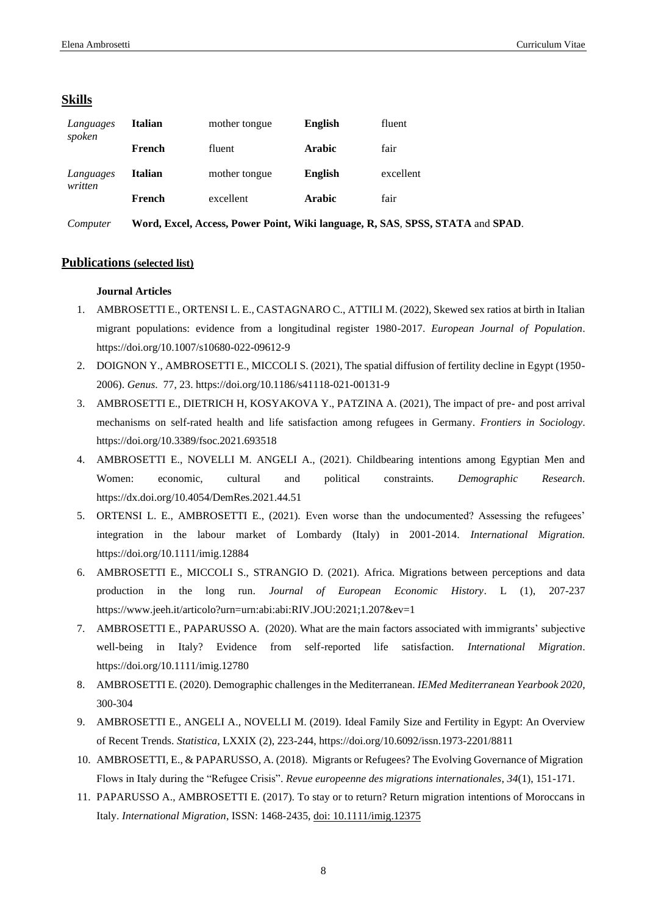#### **Skills**

| Languages<br>spoken  | Italian | mother tongue | <b>English</b> | fluent    |
|----------------------|---------|---------------|----------------|-----------|
|                      | French  | fluent        | <b>Arabic</b>  | fair      |
| Languages<br>written | Italian | mother tongue | <b>English</b> | excellent |
|                      | French  | excellent     | Arabic         | fair      |
|                      |         |               |                |           |

*Computer* **Word, Excel, Access, Power Point, Wiki language, R, SAS**, **SPSS, STATA** and **SPAD**.

#### **Publications (selected list)**

#### **Journal Articles**

- 1. AMBROSETTI E., ORTENSI L. E., CASTAGNARO C., ATTILI M. (2022), Skewed sex ratios at birth in Italian migrant populations: evidence from a longitudinal register 1980-2017. *European Journal of Population*. https://doi.org/10.1007/s10680-022-09612-9
- 2. DOIGNON Y., AMBROSETTI E., MICCOLI S. (2021), The spatial diffusion of fertility decline in Egypt (1950- 2006). *Genus*. 77, 23. https://doi.org/10.1186/s41118-021-00131-9
- 3. AMBROSETTI E., DIETRICH H, KOSYAKOVA Y., PATZINA A. (2021), The impact of pre- and post arrival mechanisms on self-rated health and life satisfaction among refugees in Germany. *Frontiers in Sociology*. https://doi.org/10.3389/fsoc.2021.693518
- 4. AMBROSETTI E., NOVELLI M. ANGELI A., (2021). Childbearing intentions among Egyptian Men and Women: economic, cultural and political constraints. *Demographic Research*. https://dx.doi.org/10.4054/DemRes.2021.44.51
- 5. ORTENSI L. E., AMBROSETTI E., (2021). Even worse than the undocumented? Assessing the refugees' integration in the labour market of Lombardy (Italy) in 2001-2014. *International Migration.* https://doi.org/10.1111/imig.12884
- 6. AMBROSETTI E., MICCOLI S., STRANGIO D. (2021). Africa. Migrations between perceptions and data production in the long run. *Journal of European Economic History*. L (1), 207-237 https://www.jeeh.it/articolo?urn=urn:abi:abi:RIV.JOU:2021;1.207&ev=1
- 7. AMBROSETTI E., PAPARUSSO A. (2020). What are the main factors associated with immigrants' subjective well-being in Italy? Evidence from self-reported life satisfaction. *International Migration*. https://doi.org/10.1111/imig.12780
- 8. AMBROSETTI E. (2020). Demographic challenges in the Mediterranean. *IEMed Mediterranean Yearbook 2020*, 300-304
- 9. AMBROSETTI E., ANGELI A., NOVELLI M. (2019). Ideal Family Size and Fertility in Egypt: An Overview of Recent Trends. *Statistica*, LXXIX (2), 223-244[, https://doi.org/10.6092/issn.1973-2201/8811](https://www.google.com/url?q=https%3A%2F%2Fdoi.org%2F10.6092%2Fissn.1973-2201%2F8811&sa=D&sntz=1&usg=AFQjCNHakzPFGOh9gVTjanx0W7Lzx1ZXKQ)
- 10. AMBROSETTI, E., & PAPARUSSO, A. (2018). Migrants or Refugees? The Evolving Governance of Migration Flows in Italy during the "Refugee Crisis". *Revue europeenne des migrations internationales*, *34*(1), 151-171.
- 11. PAPARUSSO A., AMBROSETTI E. (2017). To stay or to return? Return migration intentions of Moroccans in Italy. *International Migration*, ISSN: 1468-2435, doi: 10.1111/imig.12375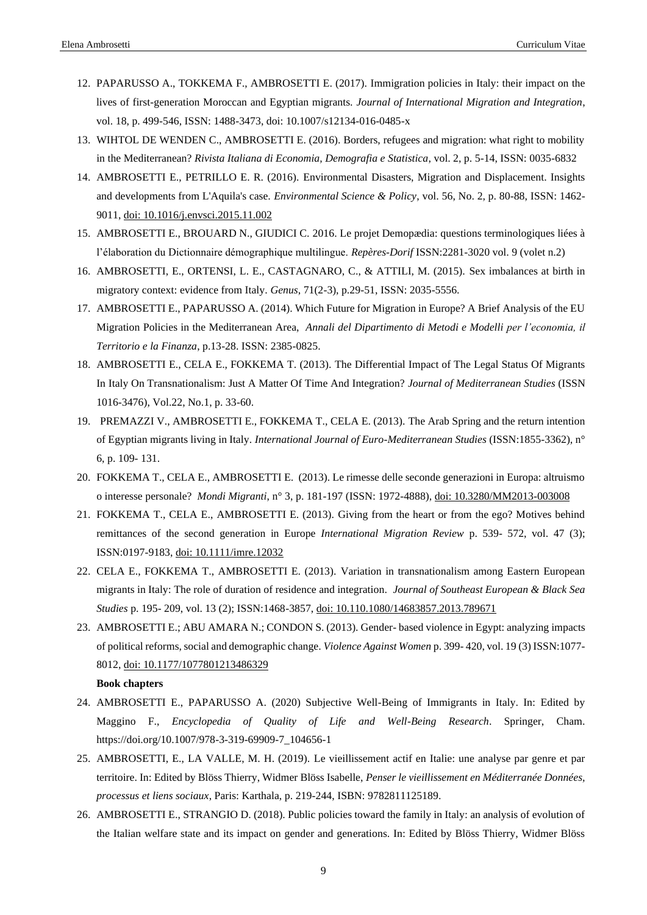- 12. PAPARUSSO A., TOKKEMA F., AMBROSETTI E. (2017). Immigration policies in Italy: their impact on the lives of first-generation Moroccan and Egyptian migrants. *Journal of International Migration and Integration*, vol. 18, p. 499-546, ISSN: 1488-3473, doi: 10.1007/s12134-016-0485-x
- 13. WIHTOL DE WENDEN C., AMBROSETTI E. (2016). Borders, refugees and migration: what right to mobility in the Mediterranean? *Rivista Italiana di Economia, Demografia e Statistica*, vol. 2, p. 5-14, ISSN: 0035-6832
- 14. AMBROSETTI E., PETRILLO E. R. (2016). Environmental Disasters, Migration and Displacement. Insights and developments from L'Aquila's case. *Environmental Science & Policy*, vol. 56, No. 2, p. 80-88, ISSN: 1462- 9011, doi: 10.1016/j.envsci.2015.11.002
- 15. AMBROSETTI E., BROUARD N., GIUDICI C. 2016. Le projet Demopædia: questions terminologiques liées à l'élaboration du Dictionnaire démographique multilingue. *Repères-Dorif* ISSN:2281-3020 vol. 9 (volet n.2)
- 16. AMBROSETTI, E., ORTENSI, L. E., CASTAGNARO, C., & ATTILI, M. (2015). Sex imbalances at birth in migratory context: evidence from Italy. *Genus*, 71(2-3), p.29-51, ISSN: 2035-5556.
- 17. AMBROSETTI E., PAPARUSSO A. (2014). Which Future for Migration in Europe? A Brief Analysis of the EU Migration Policies in the Mediterranean Area, *Annali del Dipartimento di Metodi e Modelli per l'economia, il Territorio e la Finanza*, p.13-28. ISSN: 2385-0825.
- 18. AMBROSETTI E., CELA E., FOKKEMA T. (2013). The Differential Impact of The Legal Status Of Migrants In Italy On Transnationalism: Just A Matter Of Time And Integration? *Journal of Mediterranean Studies* (ISSN 1016-3476), Vol.22, No.1, p. 33-60.
- 19. PREMAZZI V., AMBROSETTI E., FOKKEMA T., CELA E. (2013). The Arab Spring and the return intention of Egyptian migrants living in Italy. *International Journal of Euro-Mediterranean Studies* (ISSN:1855-3362), n° 6, p. 109- 131.
- 20. FOKKEMA T., CELA E., AMBROSETTI E. (2013). Le rimesse delle seconde generazioni in Europa: altruismo o interesse personale? *Mondi Migranti*, n° 3, p. 181-197 (ISSN: 1972-4888), doi: 10.3280/MM2013-003008
- 21. FOKKEMA T., CELA E., AMBROSETTI E. (2013). Giving from the heart or from the ego? Motives behind remittances of the second generation in Europe *International Migration Review* p. 539- 572, vol. 47 (3); ISSN:0197-9183, doi: 10.1111/imre.12032
- 22. CELA E., FOKKEMA T., AMBROSETTI E. (2013). Variation in transnationalism among Eastern European migrants in Italy: The role of duration of residence and integration. *Journal of Southeast European & Black Sea Studies* p. 195- 209, vol. 13 (2); ISSN:1468-3857, doi: 10.110.1080/14683857.2013.789671
- 23. AMBROSETTI E.; ABU AMARA N.; CONDON S. (2013). Gender- based violence in Egypt: analyzing impacts of political reforms, social and demographic change. *Violence Against Women* p. 399- 420, vol. 19 (3) ISSN:1077- 8012, doi: 10.1177/1077801213486329

#### **Book chapters**

- 24. AMBROSETTI E., PAPARUSSO A. (2020) Subjective Well-Being of Immigrants in Italy. In: Edited by Maggino F., *Encyclopedia of Quality of Life and Well-Being Research*. Springer, Cham. https://doi.org/10.1007/978-3-319-69909-7\_104656-1
- 25. AMBROSETTI, E., LA VALLE, M. H. (2019). Le vieillissement actif en Italie: une analyse par genre et par territoire. In: Edited by Blöss Thierry, Widmer Blöss Isabelle, *Penser le vieillissement en Méditerranée Données, processus et liens sociaux*, Paris: Karthala, p. 219-244, ISBN: 9782811125189.
- 26. AMBROSETTI E., STRANGIO D. (2018). Public policies toward the family in Italy: an analysis of evolution of the Italian welfare state and its impact on gender and generations. In: Edited by Blöss Thierry, Widmer Blöss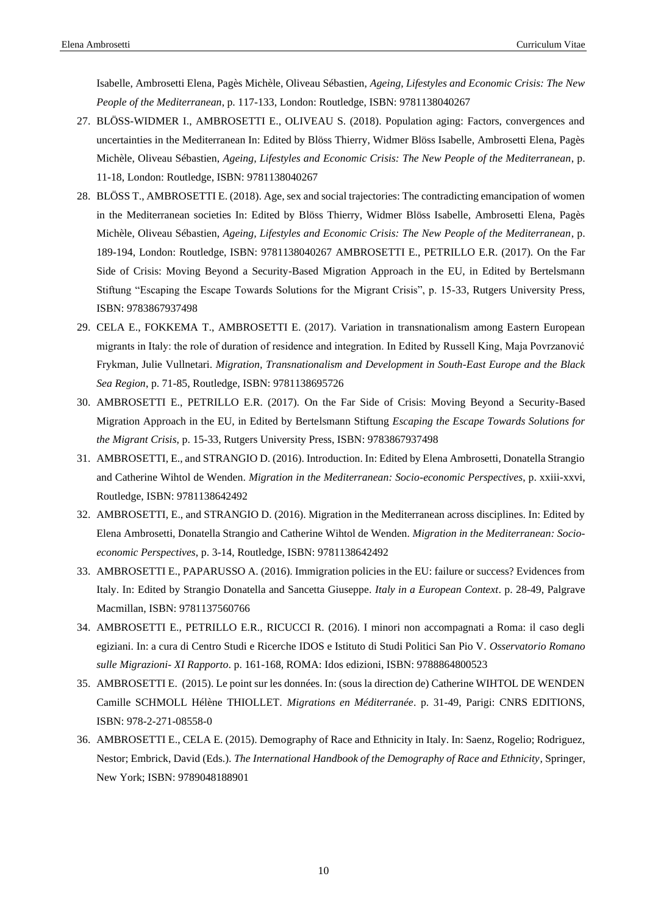Isabelle, Ambrosetti Elena, Pagès Michèle, Oliveau Sébastien, *Ageing, Lifestyles and Economic Crisis: The New People of the Mediterranean*, p. 117-133, London: Routledge, ISBN: 9781138040267

- 27. BLÖSS-WIDMER I., AMBROSETTI E., OLIVEAU S. (2018). Population aging: Factors, convergences and uncertainties in the Mediterranean In: Edited by Blöss Thierry, Widmer Blöss Isabelle, Ambrosetti Elena, Pagès Michèle, Oliveau Sébastien, *Ageing, Lifestyles and Economic Crisis: The New People of the Mediterranean*, p. 11-18, London: Routledge, ISBN: 9781138040267
- 28. BLÖSS T., AMBROSETTI E. (2018). Age, sex and social trajectories: The contradicting emancipation of women in the Mediterranean societies In: Edited by Blöss Thierry, Widmer Blöss Isabelle, Ambrosetti Elena, Pagès Michèle, Oliveau Sébastien, *Ageing, Lifestyles and Economic Crisis: The New People of the Mediterranean*, p. 189-194, London: Routledge, ISBN: 9781138040267 AMBROSETTI E., PETRILLO E.R. (2017). On the Far Side of Crisis: Moving Beyond a Security-Based Migration Approach in the EU, in Edited by Bertelsmann Stiftung "Escaping the Escape Towards Solutions for the Migrant Crisis", p. 15-33, Rutgers University Press, ISBN: 9783867937498
- 29. CELA E., FOKKEMA T., AMBROSETTI E. (2017). Variation in transnationalism among Eastern European migrants in Italy: the role of duration of residence and integration. In Edited by Russell King, Maja Povrzanović Frykman, Julie Vullnetari. *Migration, Transnationalism and Development in South-East Europe and the Black Sea Region*, p. 71-85, Routledge, ISBN: 9781138695726
- 30. AMBROSETTI E., PETRILLO E.R. (2017). On the Far Side of Crisis: Moving Beyond a Security-Based Migration Approach in the EU, in Edited by Bertelsmann Stiftung *Escaping the Escape Towards Solutions for the Migrant Crisis*, p. 15-33, Rutgers University Press, ISBN: 9783867937498
- 31. AMBROSETTI, E., and STRANGIO D. (2016). Introduction. In: Edited by Elena Ambrosetti, Donatella Strangio and Catherine Wihtol de Wenden. *Migration in the Mediterranean: Socio-economic Perspectives*, p. xxiii-xxvi, Routledge, ISBN: 9781138642492
- 32. AMBROSETTI, E., and STRANGIO D. (2016). Migration in the Mediterranean across disciplines. In: Edited by Elena Ambrosetti, Donatella Strangio and Catherine Wihtol de Wenden. *Migration in the Mediterranean: Socioeconomic Perspectives*, p. 3-14, Routledge, ISBN: 9781138642492
- 33. AMBROSETTI E., PAPARUSSO A. (2016). Immigration policies in the EU: failure or success? Evidences from Italy. In: Edited by Strangio Donatella and Sancetta Giuseppe. *Italy in a European Context*. p. 28-49, Palgrave Macmillan, ISBN: 9781137560766
- 34. AMBROSETTI E., PETRILLO E.R., RICUCCI R. (2016). I minori non accompagnati a Roma: il caso degli egiziani. In: a cura di Centro Studi e Ricerche IDOS e Istituto di Studi Politici San Pio V. *Osservatorio Romano sulle Migrazioni- XI Rapporto*. p. 161-168, ROMA: Idos edizioni, ISBN: 9788864800523
- 35. AMBROSETTI E. (2015). Le point sur les données. In: (sous la direction de) Catherine WIHTOL DE WENDEN Camille SCHMOLL Hélène THIOLLET. *Migrations en Méditerranée*. p. 31-49, Parigi: CNRS EDITIONS, ISBN: 978-2-271-08558-0
- 36. AMBROSETTI E., CELA E. (2015). Demography of Race and Ethnicity in Italy. In: Saenz, Rogelio; Rodriguez, Nestor; Embrick, David (Eds.). *The International Handbook of the Demography of Race and Ethnicity*, Springer, New York; ISBN: 9789048188901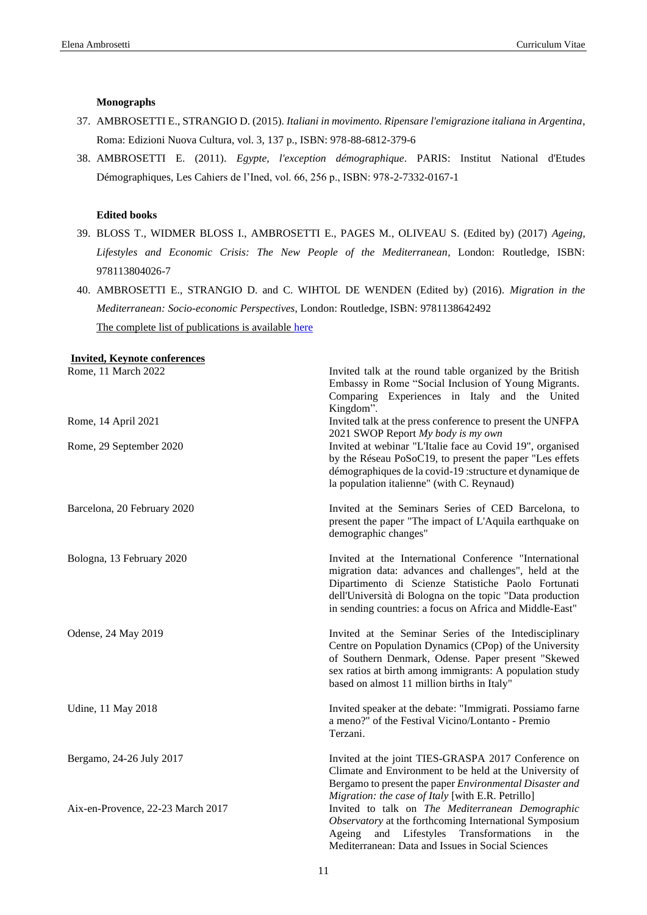#### **Monographs**

- 37. AMBROSETTI E., STRANGIO D. (2015). *Italiani in movimento. Ripensare l'emigrazione italiana in Argentina*, Roma: Edizioni Nuova Cultura, vol. 3, 137 p., ISBN: 978-88-6812-379-6
- 38. AMBROSETTI E. (2011). *Egypte, l'exception démographique*. PARIS: Institut National d'Etudes Démographiques, Les Cahiers de l'Ined, vol. 66, 256 p., ISBN: 978-2-7332-0167-1

#### **Edited books**

- 39. BLOSS T., WIDMER BLOSS I., AMBROSETTI E., PAGES M., OLIVEAU S. (Edited by) (2017) *Ageing, Lifestyles and Economic Crisis: The New People of the Mediterranean*, London: Routledge, ISBN: 978113804026-7
- 40. AMBROSETTI E., STRANGIO D. and C. WIHTOL DE WENDEN (Edited by) (2016). *Migration in the Mediterranean: Socio-economic Perspectives*, London: Routledge, ISBN: 9781138642492 The complete list of publications is available [here](https://iris.uniroma1.it/simple-search?query=elena%20ambrosetti&rpp=10&sort_by=bi_sort_2_sort&order=DESC)

| <b>Invited, Keynote conferences</b> |                                                                                                                                                                                                                                                                                                |
|-------------------------------------|------------------------------------------------------------------------------------------------------------------------------------------------------------------------------------------------------------------------------------------------------------------------------------------------|
| Rome, 11 March 2022                 | Invited talk at the round table organized by the British<br>Embassy in Rome "Social Inclusion of Young Migrants.<br>Comparing Experiences in Italy and the United<br>Kingdom".                                                                                                                 |
| Rome, 14 April 2021                 | Invited talk at the press conference to present the UNFPA<br>2021 SWOP Report My body is my own                                                                                                                                                                                                |
| Rome, 29 September 2020             | Invited at webinar "L'Italie face au Covid 19", organised<br>by the Réseau PoSoC19, to present the paper "Les effets<br>démographiques de la covid-19 : structure et dynamique de<br>la population italienne" (with C. Reynaud)                                                                |
| Barcelona, 20 February 2020         | Invited at the Seminars Series of CED Barcelona, to<br>present the paper "The impact of L'Aquila earthquake on<br>demographic changes"                                                                                                                                                         |
| Bologna, 13 February 2020           | Invited at the International Conference "International<br>migration data: advances and challenges", held at the<br>Dipartimento di Scienze Statistiche Paolo Fortunati<br>dell'Università di Bologna on the topic "Data production<br>in sending countries: a focus on Africa and Middle-East" |
| Odense, 24 May 2019                 | Invited at the Seminar Series of the Intedisciplinary<br>Centre on Population Dynamics (CPop) of the University<br>of Southern Denmark, Odense. Paper present "Skewed<br>sex ratios at birth among immigrants: A population study<br>based on almost 11 million births in Italy"               |
| Udine, 11 May 2018                  | Invited speaker at the debate: "Immigrati. Possiamo farne<br>a meno?" of the Festival Vicino/Lontanto - Premio<br>Terzani.                                                                                                                                                                     |
| Bergamo, 24-26 July 2017            | Invited at the joint TIES-GRASPA 2017 Conference on<br>Climate and Environment to be held at the University of<br>Bergamo to present the paper Environmental Disaster and<br>Migration: the case of Italy [with E.R. Petrillo]                                                                 |
| Aix-en-Provence, 22-23 March 2017   | Invited to talk on The Mediterranean Demographic<br>Observatory at the forthcoming International Symposium<br>Lifestyles<br>Transformations<br>Ageing<br>and<br>in<br>the<br>Mediterranean: Data and Issues in Social Sciences                                                                 |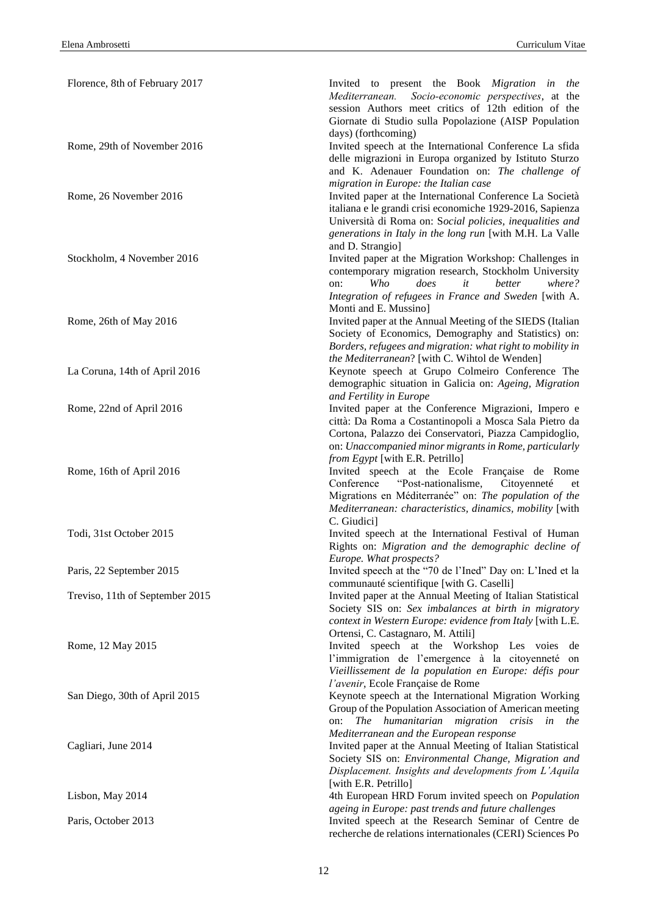| Florence, 8th of February 2017  | Invited to present the Book Migration in the                                                                          |
|---------------------------------|-----------------------------------------------------------------------------------------------------------------------|
|                                 | Socio-economic perspectives, at the<br>Mediterranean.                                                                 |
|                                 | session Authors meet critics of 12th edition of the<br>Giornate di Studio sulla Popolazione (AISP Population          |
|                                 | days) (forthcoming)                                                                                                   |
| Rome, 29th of November 2016     | Invited speech at the International Conference La sfida                                                               |
|                                 | delle migrazioni in Europa organized by Istituto Sturzo                                                               |
|                                 | and K. Adenauer Foundation on: The challenge of                                                                       |
|                                 | migration in Europe: the Italian case                                                                                 |
| Rome, 26 November 2016          | Invited paper at the International Conference La Società<br>italiana e le grandi crisi economiche 1929-2016, Sapienza |
|                                 | Università di Roma on: Social policies, inequalities and                                                              |
|                                 | generations in Italy in the long run [with M.H. La Valle                                                              |
|                                 | and D. Strangio]                                                                                                      |
| Stockholm, 4 November 2016      | Invited paper at the Migration Workshop: Challenges in                                                                |
|                                 | contemporary migration research, Stockholm University                                                                 |
|                                 | Who<br>does<br>it<br>better<br>where?<br>on:<br>Integration of refugees in France and Sweden [with A.                 |
|                                 | Monti and E. Mussino]                                                                                                 |
| Rome, 26th of May 2016          | Invited paper at the Annual Meeting of the SIEDS (Italian                                                             |
|                                 | Society of Economics, Demography and Statistics) on:                                                                  |
|                                 | Borders, refugees and migration: what right to mobility in                                                            |
|                                 | the Mediterranean? [with C. Wihtol de Wenden]                                                                         |
| La Coruna, 14th of April 2016   | Keynote speech at Grupo Colmeiro Conference The<br>demographic situation in Galicia on: Ageing, Migration             |
|                                 | and Fertility in Europe                                                                                               |
| Rome, 22nd of April 2016        | Invited paper at the Conference Migrazioni, Impero e                                                                  |
|                                 | città: Da Roma a Costantinopoli a Mosca Sala Pietro da                                                                |
|                                 | Cortona, Palazzo dei Conservatori, Piazza Campidoglio,                                                                |
|                                 | on: Unaccompanied minor migrants in Rome, particularly                                                                |
|                                 | from Egypt [with E.R. Petrillo]                                                                                       |
| Rome, 16th of April 2016        | Invited speech at the Ecole Française de Rome<br>Conference<br>"Post-nationalisme,<br>Citoyenneté<br>et               |
|                                 | Migrations en Méditerranée" on: The population of the                                                                 |
|                                 | Mediterranean: characteristics, dinamics, mobility [with                                                              |
|                                 | C. Giudici]                                                                                                           |
| Todi, 31st October 2015         | Invited speech at the International Festival of Human                                                                 |
|                                 | Rights on: Migration and the demographic decline of<br>Europe. What prospects?                                        |
| Paris, 22 September 2015        | Invited speech at the "70 de l'Ined" Day on: L'Ined et la                                                             |
|                                 | communauté scientifique [with G. Caselli]                                                                             |
| Treviso, 11th of September 2015 | Invited paper at the Annual Meeting of Italian Statistical                                                            |
|                                 | Society SIS on: Sex imbalances at birth in migratory                                                                  |
|                                 | context in Western Europe: evidence from Italy [with L.E.                                                             |
| Rome, 12 May 2015               | Ortensi, C. Castagnaro, M. Attili]<br>Invited speech at the Workshop Les voies de                                     |
|                                 | l'immigration de l'emergence à la citoyenneté on                                                                      |
|                                 | Vieillissement de la population en Europe: défis pour                                                                 |
|                                 | l'avenir, Ecole Française de Rome                                                                                     |
| San Diego, 30th of April 2015   | Keynote speech at the International Migration Working                                                                 |
|                                 | Group of the Population Association of American meeting                                                               |
|                                 | The humanitarian migration crisis in the<br>on:<br>Mediterranean and the European response                            |
| Cagliari, June 2014             | Invited paper at the Annual Meeting of Italian Statistical                                                            |
|                                 | Society SIS on: Environmental Change, Migration and                                                                   |
|                                 | Displacement. Insights and developments from L'Aquila                                                                 |
|                                 | [with E.R. Petrillo]                                                                                                  |
| Lisbon, May 2014                | 4th European HRD Forum invited speech on Population                                                                   |
| Paris, October 2013             | ageing in Europe: past trends and future challenges<br>Invited speech at the Research Seminar of Centre de            |
|                                 | recherche de relations internationales (CERI) Sciences Po                                                             |
|                                 |                                                                                                                       |